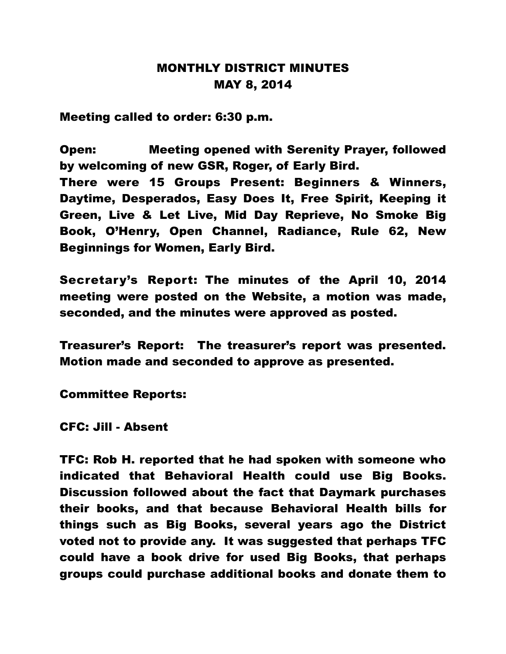## MONTHLY DISTRICT MINUTES MAY 8, 2014

Meeting called to order: 6:30 p.m.

Open: Meeting opened with Serenity Prayer, followed by welcoming of new GSR, Roger, of Early Bird.

There were 15 Groups Present: Beginners & Winners, Daytime, Desperados, Easy Does It, Free Spirit, Keeping it Green, Live & Let Live, Mid Day Reprieve, No Smoke Big Book, O'Henry, Open Channel, Radiance, Rule 62, New Beginnings for Women, Early Bird.

Secretary's Report: The minutes of the April 10, 2014 meeting were posted on the Website, a motion was made, seconded, and the minutes were approved as posted.

Treasurer's Report: The treasurer's report was presented. Motion made and seconded to approve as presented.

Committee Reports:

CFC: Jill - Absent

TFC: Rob H. reported that he had spoken with someone who indicated that Behavioral Health could use Big Books. Discussion followed about the fact that Daymark purchases their books, and that because Behavioral Health bills for things such as Big Books, several years ago the District voted not to provide any. It was suggested that perhaps TFC could have a book drive for used Big Books, that perhaps groups could purchase additional books and donate them to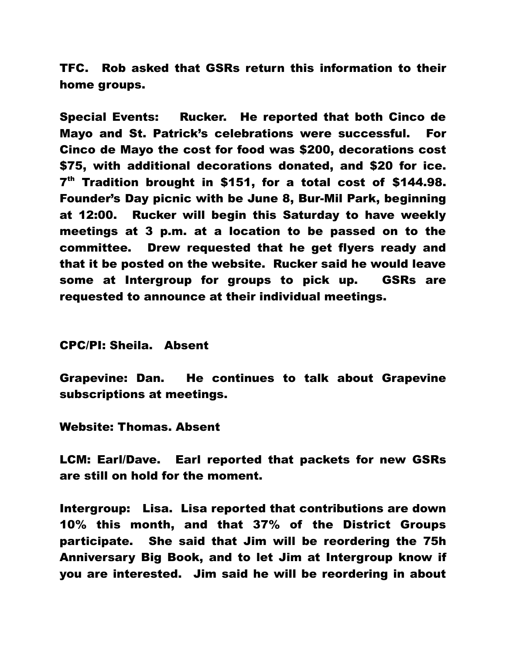TFC. Rob asked that GSRs return this information to their home groups.

Special Events: Rucker. He reported that both Cinco de Mayo and St. Patrick's celebrations were successful. For Cinco de Mayo the cost for food was \$200, decorations cost \$75, with additional decorations donated, and \$20 for ice. 7<sup>th</sup> Tradition brought in \$151, for a total cost of \$144.98. Founder's Day picnic with be June 8, Bur-Mil Park, beginning at 12:00. Rucker will begin this Saturday to have weekly meetings at 3 p.m. at a location to be passed on to the committee. Drew requested that he get flyers ready and that it be posted on the website. Rucker said he would leave some at Intergroup for groups to pick up. GSRs are requested to announce at their individual meetings.

CPC/PI: Sheila. Absent

Grapevine: Dan. He continues to talk about Grapevine subscriptions at meetings.

Website: Thomas. Absent

LCM: Earl/Dave. Earl reported that packets for new GSRs are still on hold for the moment.

Intergroup: Lisa. Lisa reported that contributions are down 10% this month, and that 37% of the District Groups participate. She said that Jim will be reordering the 75h Anniversary Big Book, and to let Jim at Intergroup know if you are interested. Jim said he will be reordering in about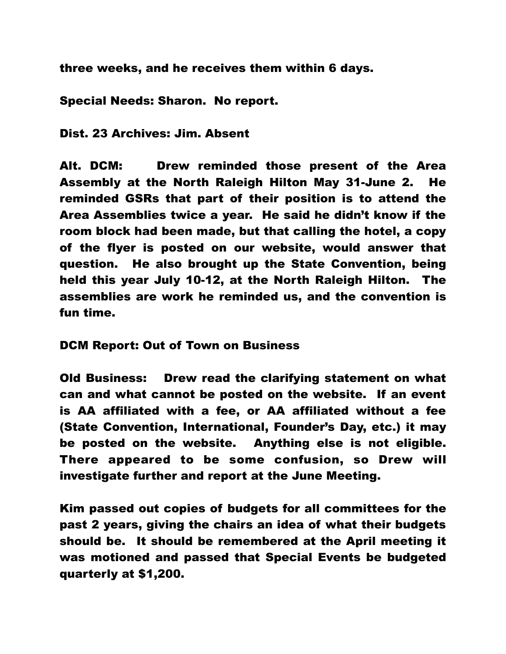three weeks, and he receives them within 6 days.

Special Needs: Sharon. No report.

Dist. 23 Archives: Jim. Absent

Alt. DCM: Drew reminded those present of the Area Assembly at the North Raleigh Hilton May 31-June 2. He reminded GSRs that part of their position is to attend the Area Assemblies twice a year. He said he didn't know if the room block had been made, but that calling the hotel, a copy of the flyer is posted on our website, would answer that question. He also brought up the State Convention, being held this year July 10-12, at the North Raleigh Hilton. The assemblies are work he reminded us, and the convention is fun time.

DCM Report: Out of Town on Business

Old Business: Drew read the clarifying statement on what can and what cannot be posted on the website. If an event is AA affiliated with a fee, or AA affiliated without a fee (State Convention, International, Founder's Day, etc.) it may be posted on the website. Anything else is not eligible. There appeared to be some confusion, so Drew will investigate further and report at the June Meeting.

Kim passed out copies of budgets for all committees for the past 2 years, giving the chairs an idea of what their budgets should be. It should be remembered at the April meeting it was motioned and passed that Special Events be budgeted quarterly at \$1,200.